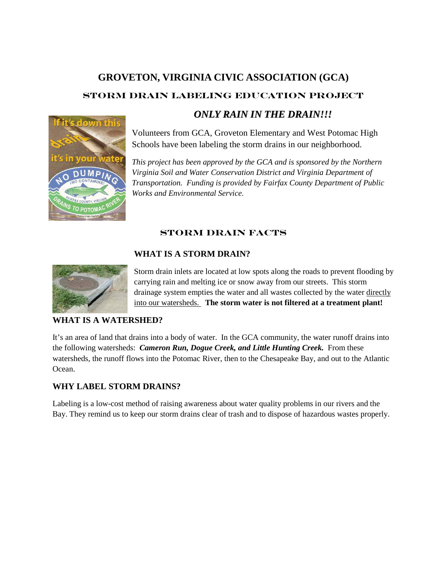# **GROVETON, VIRGINIA CIVIC ASSOCIATION (GCA) STORM DRAIN LABELING EDUCATION PROJECT** *ONLY RAIN IN THE DRAIN!!!*



Volunteers from GCA, Groveton Elementary and West Potomac High Schools have been labeling the storm drains in our neighborhood.

*This project has been approved by the GCA and is sponsored by the Northern Virginia Soil and Water Conservation District and Virginia Department of Transportation. Funding is provided by Fairfax County Department of Public Works and Environmental Service.*

# **STORM DRAIN FACTS**

## **WHAT IS A STORM DRAIN?**



Storm drain inlets are located at low spots along the roads to prevent flooding by carrying rain and melting ice or snow away from our streets. This storm drainage system empties the water and all wastes collected by the water directly into our watersheds. **The storm water is not filtered at a treatment plant!**

#### **WHAT IS A WATERSHED?**

It's an area of land that drains into a body of water. In the GCA community, the water runoff drains into the following watersheds: *Cameron Run, Dogue Creek, and Little Hunting Creek.* From these watersheds, the runoff flows into the Potomac River, then to the Chesapeake Bay, and out to the Atlantic Ocean.

#### **WHY LABEL STORM DRAINS?**

Labeling is a low-cost method of raising awareness about water quality problems in our rivers and the Bay. They remind us to keep our storm drains clear of trash and to dispose of hazardous wastes properly.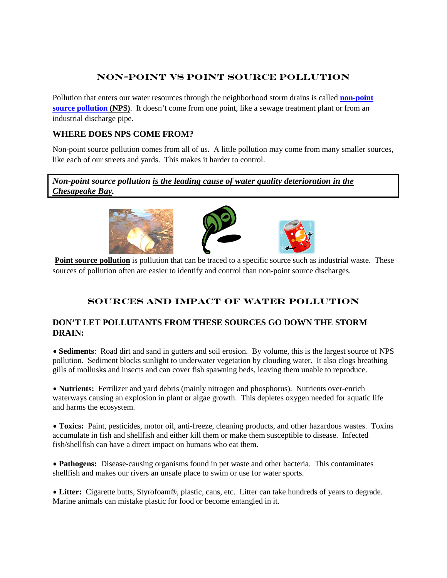## **Non-Point vs Point Source Pollution**

Pollution that enters our water resources through the neighborhood storm drains is called **[non-point](http://www.fairfaxcounty.gov/nvswcd/waterqualitybk.htm#nps)  [source pollution](http://www.fairfaxcounty.gov/nvswcd/waterqualitybk.htm#nps) (NPS)**. It doesn't come from one point, like a sewage treatment plant or from an industrial discharge pipe.

#### **WHERE DOES NPS COME FROM?**

Non-point source pollution comes from all of us. A little pollution may come from many smaller sources, like each of our streets and yards. This makes it harder to control.

*Non-point source pollution is the leading cause of water quality deterioration in the Chesapeake Bay.*



**Point source pollution** is pollution that can be traced to a specific source such as industrial waste. These sources of pollution often are easier to identify and control than non-point source discharges.

# **Sources and Impact of Water Pollution**

#### **DON'T LET POLLUTANTS FROM THESE SOURCES GO DOWN THE STORM DRAIN:**

• **Sediments**: Road dirt and sand in gutters and soil erosion. By volume, this is the largest source of NPS pollution. Sediment blocks sunlight to underwater vegetation by clouding water. It also clogs breathing gills of mollusks and insects and can cover fish spawning beds, leaving them unable to reproduce.

• **Nutrients:** Fertilizer and yard debris (mainly nitrogen and phosphorus). Nutrients over-enrich waterways causing an explosion in plant or algae growth. This depletes oxygen needed for aquatic life and harms the ecosystem.

• **Toxics:** Paint, pesticides, motor oil, anti-freeze, cleaning products, and other hazardous wastes. Toxins accumulate in fish and shellfish and either kill them or make them susceptible to disease. Infected fish/shellfish can have a direct impact on humans who eat them.

• **Pathogens:** Disease-causing organisms found in pet waste and other bacteria. This contaminates shellfish and makes our rivers an unsafe place to swim or use for water sports.

• **Litter:** Cigarette butts, Styrofoam®, plastic, cans, etc. Litter can take hundreds of years to degrade. Marine animals can mistake plastic for food or become entangled in it.